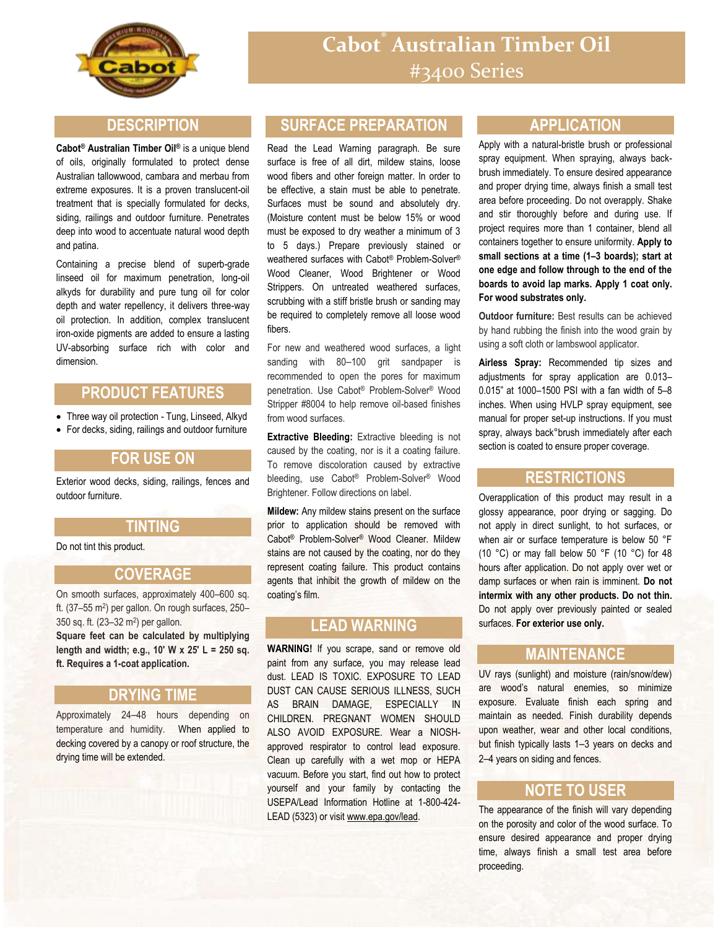

#### **DESCRIPTION**

**Cabot® Australian Timber Oil®** is a unique blend of oils, originally formulated to protect dense Australian tallowwood, cambara and merbau from extreme exposures. It is a proven translucent-oil treatment that is specially formulated for decks, siding, railings and outdoor furniture. Penetrates deep into wood to accentuate natural wood depth and patina.

Containing a precise blend of superb-grade linseed oil for maximum penetration, long-oil alkyds for durability and pure tung oil for color depth and water repellency, it delivers three-way oil protection. In addition, complex translucent iron-oxide pigments are added to ensure a lasting UV-absorbing surface rich with color and dimension.

# **PRODUCT FEATURES**

• Three way oil protection - Tung, Linseed, Alkyd

For decks, siding, railings and outdoor furniture

## **FOR USE ON**

Exterior wood decks, siding, railings, fences and outdoor furniture.

## **TINTING**

Do not tint this product.

#### **COVERAGE**

On smooth surfaces, approximately 400–600 sq. ft. (37-55 m<sup>2</sup>) per gallon. On rough surfaces, 250-350 sq. ft. (23–32 m<sup>2</sup> ) per gallon.

**Square feet can be calculated by multiplying length and width; e.g., 10' W x 25' L = 250 sq. ft. Requires a 1-coat application.**

#### **DRYING TIME**

Approximately 24–48 hours depending on temperature and humidity. When applied to decking covered by a canopy or roof structure, the drying time will be extended.

## **SURFACE PREPARATION**

Read the Lead Warning paragraph. Be sure surface is free of all dirt, mildew stains, loose wood fibers and other foreign matter. In order to be effective, a stain must be able to penetrate. Surfaces must be sound and absolutely dry. (Moisture content must be below 15% or wood must be exposed to dry weather a minimum of 3 to 5 days.) Prepare previously stained or weathered surfaces with Cabot® Problem-Solver® Wood Cleaner, Wood Brightener or Wood Strippers. On untreated weathered surfaces, scrubbing with a stiff bristle brush or sanding may be required to completely remove all loose wood fibers.

For new and weathered wood surfaces, a light sanding with 80-100 grit sandpaper is recommended to open the pores for maximum penetration. Use Cabot® Problem-Solver® Wood Stripper #8004 to help remove oil-based finishes from wood surfaces.

**Extractive Bleeding:** Extractive bleeding is not caused by the coating, nor is it a coating failure. To remove discoloration caused by extractive bleeding, use Cabot® Problem-Solver® Wood Brightener. Follow directions on label.

**Mildew:** Any mildew stains present on the surface prior to application should be removed with Cabot® Problem-Solver® Wood Cleaner. Mildew stains are not caused by the coating, nor do they represent coating failure. This product contains agents that inhibit the growth of mildew on the coating's film.

## **LEAD WARNING**

**WARNING!** If you scrape, sand or remove old paint from any surface, you may release lead dust. LEAD IS TOXIC. EXPOSURE TO LEAD DUST CAN CAUSE SERIOUS ILLNESS, SUCH AS BRAIN DAMAGE, ESPECIALLY IN CHILDREN. PREGNANT WOMEN SHOULD ALSO AVOID EXPOSURE. Wear a NIOSHapproved respirator to control lead exposure. Clean up carefully with a wet mop or HEPA vacuum. Before you start, find out how to protect yourself and your family by contacting the USEPA/Lead Information Hotline at 1-800-424- LEAD (5323) or visit www.epa.gov/lead.

#### **APPLICATION**

Apply with a natural-bristle brush or professional spray equipment. When spraying, always backbrush immediately. To ensure desired appearance and proper drying time, always finish a small test area before proceeding. Do not overapply. Shake and stir thoroughly before and during use. If project requires more than 1 container, blend all containers together to ensure uniformity. **Apply to small sections at a time (1–3 boards); start at one edge and follow through to the end of the boards to avoid lap marks. Apply 1 coat only. For wood substrates only.**

**Outdoor furniture:** Best results can be achieved by hand rubbing the finish into the wood grain by using a soft cloth or lambswool applicator.

**Airless Spray:** Recommended tip sizes and adjustments for spray application are 0.013– 0.015" at 1000–1500 PSI with a fan width of 5–8 inches. When using HVLP spray equipment, see manual for proper set-up instructions. If you must spray, always back°brush immediately after each section is coated to ensure proper coverage.

#### **RESTRICTIONS**

Overapplication of this product may result in a glossy appearance, poor drying or sagging. Do not apply in direct sunlight, to hot surfaces, or when air or surface temperature is below 50 °F (10 °C) or may fall below 50 °F (10 °C) for 48 hours after application. Do not apply over wet or damp surfaces or when rain is imminent. **Do not intermix with any other products. Do not thin.** Do not apply over previously painted or sealed surfaces. **For exterior use only.**

#### **MAINTENANCE**

UV rays (sunlight) and moisture (rain/snow/dew) are wood's natural enemies, so minimize exposure. Evaluate finish each spring and maintain as needed. Finish durability depends upon weather, wear and other local conditions, but finish typically lasts 1–3 years on decks and 2–4 years on siding and fences.

#### **NOTE TO USER**

The appearance of the finish will vary depending on the porosity and color of the wood surface. To ensure desired appearance and proper drying time, always finish a small test area before proceeding.